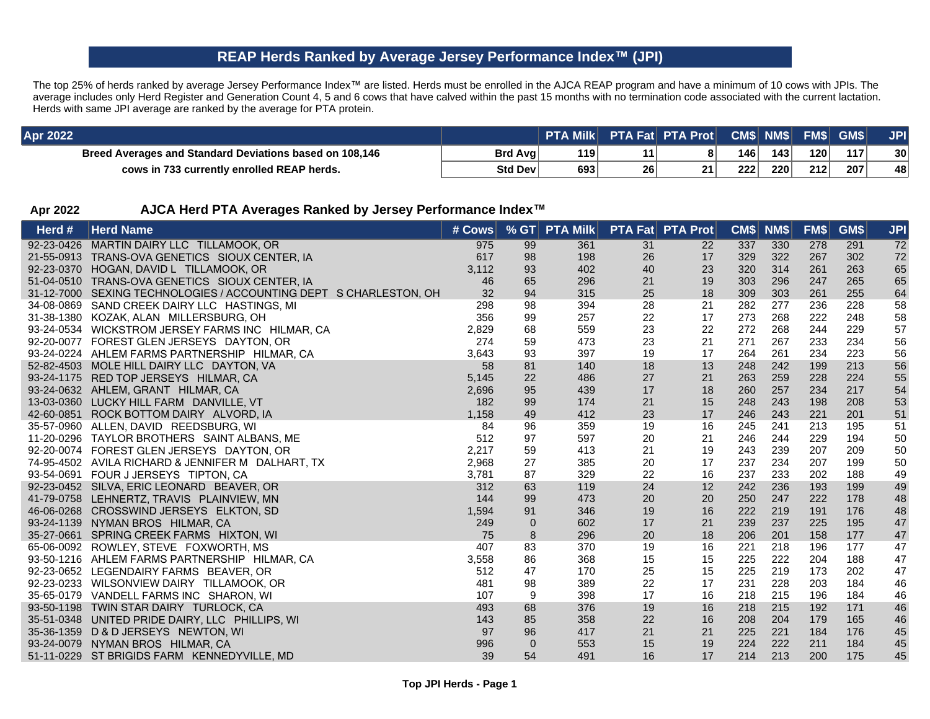## **REAP Herds Ranked by Average Jersey Performance Index(JPI)**

The top 25% of herds ranked by average Jersey Performance Index™ are listed. Herds must be enrolled in the AJCA REAP program and have a minimum of 10 cows with JPIs. The average includes only Herd Register and Generation Count 4, 5 and 6 cows that have calved within the past 15 months with no termination code associated with the current lactation. Herds with same JPI average are ranked by the average for PTA protein.

| <b>Apr 2022</b>                                         |         | PTA Milk PTA Fat PTA Prot CM\$ NM\$ FM\$ GM\$ |    |    |     |     |                  |     | <b>JPI</b>      |
|---------------------------------------------------------|---------|-----------------------------------------------|----|----|-----|-----|------------------|-----|-----------------|
| Breed Averages and Standard Deviations based on 108,146 | Brd Avg | 119                                           |    |    | 146 | 143 | 120 <sup>1</sup> | 117 | 30 <sup>1</sup> |
| cows in 733 currently enrolled REAP herds.              | Std Dev | 693                                           | 26 | 21 | 222 | 220 | 212              | 207 | 48              |

## **Apr 2022 AJCA Herd PTA Averages Ranked by Jersey Performance Index**

| Herd $#$ | <b>Herd Name</b>                                                  | # Cows |              | % GT PTA Milk PTA Fat PTA Prot |    |    |     | CM\$ NM\$ | FM\$ | GM\$ | <b>JPI</b> |
|----------|-------------------------------------------------------------------|--------|--------------|--------------------------------|----|----|-----|-----------|------|------|------------|
|          | 92-23-0426 MARTIN DAIRY LLC TILLAMOOK, OR                         | 975    | 99           | 361                            | 31 | 22 | 337 | 330       | 278  | 291  | 72         |
|          | 21-55-0913 TRANS-OVA GENETICS SIOUX CENTER, IA                    | 617    | 98           | 198                            | 26 | 17 | 329 | 322       | 267  | 302  | 72         |
|          | 92-23-0370 HOGAN, DAVID L TILLAMOOK, OR                           | 3,112  | 93           | 402                            | 40 | 23 | 320 | 314       | 261  | 263  | 65         |
|          | 51-04-0510 TRANS-OVA GENETICS SIOUX CENTER, IA                    | 46     | 65           | 296                            | 21 | 19 | 303 | 296       | 247  | 265  | 65         |
|          | 31-12-7000 SEXING TECHNOLOGIES / ACCOUNTING DEPT S CHARLESTON, OH | 32     | 94           | 315                            | 25 | 18 | 309 | 303       | 261  | 255  | 64         |
|          | 34-08-0869 SAND CREEK DAIRY LLC HASTINGS, MI                      | 298    | 98           | 394                            | 28 | 21 | 282 | 277       | 236  | 228  | 58         |
|          | 31-38-1380 KOZAK, ALAN MILLERSBURG, OH                            | 356    | 99           | 257                            | 22 | 17 | 273 | 268       | 222  | 248  | 58         |
|          | 93-24-0534 WICKSTROM JERSEY FARMS INC HILMAR, CA                  | 2,829  | 68           | 559                            | 23 | 22 | 272 | 268       | 244  | 229  | 57         |
|          | 92-20-0077 FOREST GLEN JERSEYS DAYTON, OR                         | 274    | 59           | 473                            | 23 | 21 | 271 | 267       | 233  | 234  | 56         |
|          | 93-24-0224 AHLEM FARMS PARTNERSHIP HILMAR, CA                     | 3,643  | 93           | 397                            | 19 | 17 | 264 | 261       | 234  | 223  | 56         |
|          | 52-82-4503 MOLE HILL DAIRY LLC DAYTON, VA                         | 58     | 81           | 140                            | 18 | 13 | 248 | 242       | 199  | 213  | 56         |
|          | 93-24-1175 RED TOP JERSEYS HILMAR, CA                             | 5,145  | 22           | 486                            | 27 | 21 | 263 | 259       | 228  | 224  | 55         |
|          | 93-24-0632 AHLEM, GRANT HILMAR, CA                                | 2,696  | 95           | 439                            | 17 | 18 | 260 | 257       | 234  | 217  | 54         |
|          | 13-03-0360 LUCKY HILL FARM DANVILLE, VT                           | 182    | 99           | 174                            | 21 | 15 | 248 | 243       | 198  | 208  | 53         |
|          | 42-60-0851 ROCK BOTTOM DAIRY ALVORD, IA                           | 1,158  | 49           | 412                            | 23 | 17 | 246 | 243       | 221  | 201  | 51         |
|          | 35-57-0960 ALLEN, DAVID REEDSBURG, WI                             | 84     | 96           | 359                            | 19 | 16 | 245 | 241       | 213  | 195  | 51         |
|          | 11-20-0296 TAYLOR BROTHERS SAINT ALBANS, ME                       | 512    | 97           | 597                            | 20 | 21 | 246 | 244       | 229  | 194  | 50         |
|          | 92-20-0074 FOREST GLEN JERSEYS DAYTON, OR                         | 2,217  | 59           | 413                            | 21 | 19 | 243 | 239       | 207  | 209  | 50         |
|          | 74-95-4502 AVILA RICHARD & JENNIFER M DALHART, TX                 | 2,968  | 27           | 385                            | 20 | 17 | 237 | 234       | 207  | 199  | 50         |
|          | 93-54-0691 FOUR J JERSEYS TIPTON, CA                              | 3,781  | 87           | 329                            | 22 | 16 | 237 | 233       | 202  | 188  | 49         |
|          | 92-23-0452 SILVA, ERIC LEONARD BEAVER, OR                         | 312    | 63           | 119                            | 24 | 12 | 242 | 236       | 193  | 199  | 49         |
|          | 41-79-0758 LEHNERTZ, TRAVIS PLAINVIEW, MN                         | 144    | 99           | 473                            | 20 | 20 | 250 | 247       | 222  | 178  | 48         |
|          | 46-06-0268 CROSSWIND JERSEYS ELKTON, SD                           | 1,594  | 91           | 346                            | 19 | 16 | 222 | 219       | 191  | 176  | 48         |
|          | 93-24-1139 NYMAN BROS HILMAR, CA                                  | 249    | $\mathbf 0$  | 602                            | 17 | 21 | 239 | 237       | 225  | 195  | 47         |
|          | 35-27-0661 SPRING CREEK FARMS HIXTON, WI                          | 75     | 8            | 296                            | 20 | 18 | 206 | 201       | 158  | 177  | 47         |
|          | 65-06-0092 ROWLEY, STEVE FOXWORTH, MS                             | 407    | 83           | 370                            | 19 | 16 | 221 | 218       | 196  | 177  | 47         |
|          | 93-50-1216 AHLEM FARMS PARTNERSHIP HILMAR, CA                     | 3,558  | 86           | 368                            | 15 | 15 | 225 | 222       | 204  | 188  | 47         |
|          | 92-23-0652 LEGENDAIRY FARMS BEAVER, OR                            | 512    | 47           | 170                            | 25 | 15 | 225 | 219       | 173  | 202  | 47         |
|          | 92-23-0233 WILSONVIEW DAIRY TILLAMOOK, OR                         | 481    | 98           | 389                            | 22 | 17 | 231 | 228       | 203  | 184  | 46         |
|          | 35-65-0179 VANDELL FARMS INC SHARON, WI                           | 107    | 9            | 398                            | 17 | 16 | 218 | 215       | 196  | 184  | 46         |
|          | 93-50-1198 TWIN STAR DAIRY TURLOCK, CA                            | 493    | 68           | 376                            | 19 | 16 | 218 | 215       | 192  | 171  | 46         |
|          | 35-51-0348 UNITED PRIDE DAIRY, LLC PHILLIPS, WI                   | 143    | 85           | 358                            | 22 | 16 | 208 | 204       | 179  | 165  | 46         |
|          | 35-36-1359 D & D JERSEYS NEWTON, WI                               | 97     | 96           | 417                            | 21 | 21 | 225 | 221       | 184  | 176  | 45         |
|          | 93-24-0079 NYMAN BROS HILMAR, CA                                  | 996    | $\mathbf{0}$ | 553                            | 15 | 19 | 224 | 222       | 211  | 184  | 45         |
|          | 51-11-0229 ST BRIGIDS FARM KENNEDYVILLE, MD                       | 39     | 54           | 491                            | 16 | 17 | 214 | 213       | 200  | 175  | 45         |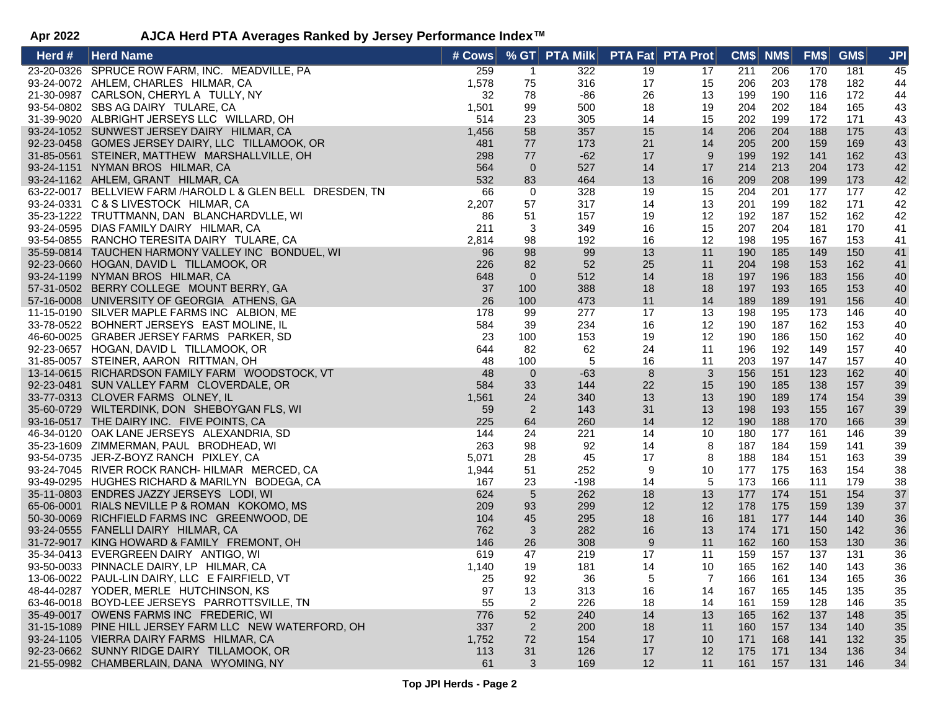## **Apr 2022 AJCA Herd PTA Averages Ranked by Jersey Performance Index**

| Herd # | <b>Herd Name</b>                                           | # Cows |                | $%$ GT PTA Milk |    | <b>PTA Fat PTA Prot</b> | CM\$ NM\$ |     | FMS | GM\$ | <b>JPI</b> |
|--------|------------------------------------------------------------|--------|----------------|-----------------|----|-------------------------|-----------|-----|-----|------|------------|
|        | 23-20-0326 SPRUCE ROW FARM, INC. MEADVILLE, PA             | 259    | $\overline{1}$ | 322             | 19 | 17                      | 211       | 206 | 170 | 181  | 45         |
|        | 93-24-0072 AHLEM, CHARLES HILMAR, CA                       | 1,578  | 75             | 316             | 17 | 15                      | 206       | 203 | 178 | 182  | 44         |
|        | 21-30-0987 CARLSON, CHERYL A TULLY, NY                     | 32     | 78             | -86             | 26 | 13                      | 199       | 190 | 116 | 172  | 44         |
|        | 93-54-0802 SBS AG DAIRY TULARE, CA                         | 1,501  | 99             | 500             | 18 | 19                      | 204       | 202 | 184 | 165  | 43         |
|        | 31-39-9020 ALBRIGHT JERSEYS LLC WILLARD, OH                | 514    | 23             | 305             | 14 | 15                      | 202       | 199 | 172 | 171  | 43         |
|        | 93-24-1052 SUNWEST JERSEY DAIRY HILMAR, CA                 | 1,456  | 58             | 357             | 15 | 14                      | 206       | 204 | 188 | 175  | 43         |
|        | 92-23-0458 GOMES JERSEY DAIRY, LLC TILLAMOOK, OR           | 481    | 77             | 173             | 21 | 14                      | 205       | 200 | 159 | 169  | 43         |
|        | 31-85-0561 STEINER, MATTHEW MARSHALLVILLE, OH              | 298    | 77             | $-62$           | 17 | 9                       | 199       | 192 | 141 | 162  | 43         |
|        | 93-24-1151 NYMAN BROS HILMAR, CA                           | 564    | $\overline{0}$ | 527             | 14 | 17                      | 214       | 213 | 204 | 173  | 42         |
|        | 93-24-1162 AHLEM, GRANT HILMAR, CA                         | 532    | 83             | 464             | 13 | 16                      | 209       | 208 | 199 | 173  | 42         |
|        | 63-22-0017 BELLVIEW FARM /HAROLD L & GLEN BELL DRESDEN, TN | 66     | $\overline{0}$ | 328             | 19 | 15                      | 204       | 201 | 177 | 177  | 42         |
|        | 93-24-0331 C & S LIVESTOCK HILMAR, CA                      | 2,207  | 57             | 317             | 14 | 13                      | 201       | 199 | 182 | 171  | 42         |
|        | 35-23-1222 TRUTTMANN, DAN BLANCHARDVLLE, WI                | 86     | 51             | 157             | 19 | 12                      | 192       | 187 | 152 | 162  | 42         |
|        | 93-24-0595 DIAS FAMILY DAIRY HILMAR, CA                    | 211    | $\mathbf{3}$   | 349             | 16 | 15                      | 207       | 204 | 181 | 170  | 41         |
|        | 93-54-0855 RANCHO TERESITA DAIRY TULARE, CA                | 2,814  | 98             | 192             | 16 | 12                      | 198       | 195 | 167 | 153  | 41         |
|        | 35-59-0814 TAUCHEN HARMONY VALLEY INC BONDUEL, WI          | 96     | 98             | 99              | 13 | 11                      | 190       | 185 | 149 | 150  | 41         |
|        | 92-23-0660 HOGAN, DAVID L TILLAMOOK, OR                    | 226    | 82             | 52              | 25 | 11                      | 204       | 198 | 153 | 162  | 41         |
|        | 93-24-1199 NYMAN BROS HILMAR, CA                           | 648    | $\overline{0}$ | 512             | 14 | 18                      | 197       | 196 | 183 | 156  | 40         |
|        | 57-31-0502 BERRY COLLEGE MOUNT BERRY, GA                   | 37     | 100            | 388             | 18 | 18                      | 197       | 193 | 165 | 153  | 40         |
|        | 57-16-0008 UNIVERSITY OF GEORGIA ATHENS, GA                | 26     | 100            | 473             | 11 | 14                      | 189       | 189 | 191 | 156  | 40         |
|        | 11-15-0190 SILVER MAPLE FARMS INC ALBION, ME               | 178    | 99             | 277             | 17 | 13                      | 198       | 195 | 173 | 146  | 40         |
|        | 33-78-0522 BOHNERT JERSEYS EAST MOLINE, IL                 | 584    | 39             | 234             | 16 | 12                      | 190       | 187 | 162 | 153  | 40         |
|        | 46-60-0025 GRABER JERSEY FARMS PARKER, SD                  | 23     | 100            | 153             | 19 | 12                      | 190       | 186 | 150 | 162  | 40         |
|        | 92-23-0657 HOGAN, DAVID L TILLAMOOK, OR                    | 644    | 82             | 62              | 24 | 11                      | 196       | 192 | 149 | 157  | 40         |
|        | 31-85-0057 STEINER, AARON RITTMAN, OH                      | 48     | 100            | $\sqrt{5}$      | 16 | 11                      | 203       | 197 | 147 | 157  | 40         |
|        | 13-14-0615 RICHARDSON FAMILY FARM WOODSTOCK, VT            | 48     | $\overline{0}$ | $-63$           | 8  | $\mathbf{3}$            | 156       | 151 | 123 | 162  | 40         |
|        | 92-23-0481 SUN VALLEY FARM CLOVERDALE, OR                  | 584    | 33             | 144             | 22 | 15                      | 190       | 185 | 138 | 157  | 39         |
|        | 33-77-0313 CLOVER FARMS OLNEY, IL                          | 1,561  | 24             | 340             | 13 | 13                      | 190       | 189 | 174 | 154  | 39         |
|        | 35-60-0729 WILTERDINK, DON SHEBOYGAN FLS, WI               | 59     | $\overline{2}$ | 143             | 31 | 13                      | 198       | 193 | 155 | 167  | 39         |
|        | 93-16-0517 THE DAIRY INC. FIVE POINTS, CA                  | 225    | 64             | 260             | 14 | 12                      | 190       | 188 | 170 | 166  | 39         |
|        | 46-34-0120 OAK LANE JERSEYS ALEXANDRIA, SD                 | 144    | 24             | 221             | 14 | 10                      | 180       | 177 | 161 | 146  | 39         |
|        | 35-23-1609 ZIMMERMAN, PAUL BRODHEAD, WI                    | 263    | 98             | 92              | 14 | 8                       | 187       | 184 | 159 | 141  | 39         |
|        | 93-54-0735 JER-Z-BOYZ RANCH PIXLEY, CA                     | 5,071  | 28             | 45              | 17 | 8                       | 188       | 184 | 151 | 163  | 39         |
|        | 93-24-7045 RIVER ROCK RANCH- HILMAR MERCED, CA             | 1,944  | 51             | 252             | 9  | 10                      | 177       | 175 | 163 | 154  | 38         |
|        | 93-49-0295 HUGHES RICHARD & MARILYN BODEGA, CA             | 167    | 23             | $-198$          | 14 | 5                       | 173       | 166 | 111 | 179  | 38         |
|        | 35-11-0803 ENDRES JAZZY JERSEYS LODI, WI                   | 624    | $\overline{5}$ | 262             | 18 | 13                      | 177       | 174 | 151 | 154  | 37         |
|        | 65-06-0001 RIALS NEVILLE P & ROMAN KOKOMO, MS              | 209    | 93             | 299             | 12 | 12                      | 178       | 175 | 159 | 139  | 37         |
|        | 50-30-0069 RICHFIELD FARMS INC GREENWOOD, DE               | 104    | 45             | 295             | 18 | 16                      | 181       | 177 | 144 | 140  | 36         |
|        | 93-24-0555 FANELLI DAIRY HILMAR, CA                        | 762    | 3              | 282             | 16 | 13                      | 174       | 171 | 150 | 142  | 36         |
|        | 31-72-9017 KING HOWARD & FAMILY FREMONT, OH                | 146    | 26             | 308             | 9  | 11                      | 162       | 160 | 153 | 130  | 36         |
|        | 35-34-0413 EVERGREEN DAIRY ANTIGO, WI                      | 619    | 47             | 219             | 17 | 11                      | 159       | 157 | 137 | 131  | 36         |
|        | 93-50-0033 PINNACLE DAIRY, LP HILMAR, CA                   | 1,140  | 19             | 181             | 14 | 10                      | 165       | 162 | 140 | 143  | 36         |
|        | 13-06-0022 PAUL-LIN DAIRY, LLC E FAIRFIELD, VT             | 25     | 92             | 36              | 5  | $\overline{7}$          | 166       | 161 | 134 | 165  | 36         |
|        | 48-44-0287 YODER, MERLE HUTCHINSON, KS                     | 97     | 13             | 313             | 16 | 14                      | 167       | 165 | 145 | 135  | 35         |
|        | 63-46-0018 BOYD-LEE JERSEYS PARROTTSVILLE, TN              | 55     | 2              | 226             | 18 | 14                      | 161       | 159 | 128 | 146  | 35         |
|        | 35-49-0017 OWENS FARMS INC FREDERIC, WI                    | 776    | 52             | 240             | 14 | 13                      | 165       | 162 | 137 | 148  | 35         |
|        | 31-15-1089 PINE HILL JERSEY FARM LLC NEW WATERFORD, OH     | 337    | 2              | 200             | 18 | 11                      | 160       | 157 | 134 | 140  | 35         |
|        | 93-24-1105 VIERRA DAIRY FARMS HILMAR, CA                   | 1,752  | 72             | 154             | 17 | 10                      | 171       | 168 | 141 | 132  | 35         |
|        | 92-23-0662 SUNNY RIDGE DAIRY TILLAMOOK, OR                 | 113    | 31             | 126             | 17 | 12                      | 175       | 171 | 134 | 136  | 34         |
|        | 21-55-0982 CHAMBERLAIN, DANA WYOMING, NY                   | 61     | 3              | 169             | 12 | 11                      | 161       | 157 | 131 | 146  | 34         |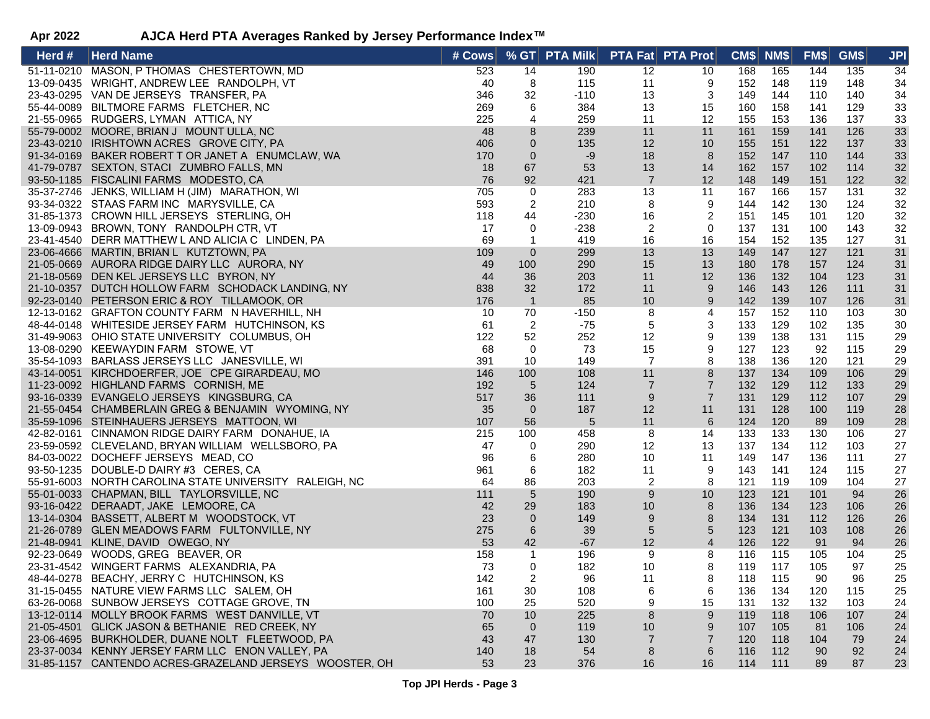| Herd # | <b>Herd Name</b>                                                             | # Cows |                | $%$ GT PTA Milk |                | <b>PTA Fat PTA Prot</b> | CM\$ NM\$  |     | FM\$ | GM\$ | <b>JPI</b> |
|--------|------------------------------------------------------------------------------|--------|----------------|-----------------|----------------|-------------------------|------------|-----|------|------|------------|
|        | 51-11-0210 MASON, P THOMAS CHESTERTOWN, MD                                   | 523    | 14             | 190             | 12             | 10                      | 168        | 165 | 144  | 135  | 34         |
|        | 13-09-0435 WRIGHT, ANDREW LEE RANDOLPH, VT                                   | 40     | 8              | 115             | 11             | 9                       | 152        | 148 | 119  | 148  | 34         |
|        | 23-43-0295 VAN DE JERSEYS TRANSFER, PA                                       | 346    | 32             | $-110$          | 13             | 3                       | 149        | 144 | 110  | 140  | 34         |
|        | 55-44-0089 BILTMORE FARMS FLETCHER, NC                                       | 269    | 6              | 384             | 13             | 15                      | 160        | 158 | 141  | 129  | 33         |
|        | 21-55-0965 RUDGERS, LYMAN ATTICA, NY                                         | 225    | 4              | 259             | 11             | 12                      | 155        | 153 | 136  | 137  | 33         |
|        | 55-79-0002 MOORE, BRIAN J MOUNT ULLA, NC                                     | 48     | $\,8\,$        | 239             | 11             | 11                      | 161        | 159 | 141  | 126  | 33         |
|        | 23-43-0210 IRISHTOWN ACRES GROVE CITY, PA                                    | 406    | $\mathbf 0$    | 135             | 12             | 10                      | 155        | 151 | 122  | 137  | 33         |
|        | 91-34-0169 BAKER ROBERT T OR JANET A ENUMCLAW, WA                            | 170    | $\mathbf{0}$   | $-9$            | 18             | 8                       | 152        | 147 | 110  | 144  | 33         |
|        | 41-79-0787 SEXTON, STACI ZUMBRO FALLS, MN                                    | 18     | 67             | 53              | 13             | 14                      | 162        | 157 | 102  | 114  | 32         |
|        | 93-50-1185 FISCALINI FARMS MODESTO, CA                                       | 76     | 92             | 421             | $\overline{7}$ | 12                      | 148        | 149 | 151  | 122  | 32         |
|        | 35-37-2746 JENKS, WILLIAM H (JIM) MARATHON, WI                               | 705    | 0              | 283             | 13             | 11                      | 167        | 166 | 157  | 131  | 32         |
|        | 93-34-0322 STAAS FARM INC MARYSVILLE, CA                                     | 593    | $\overline{2}$ | 210             | 8              | 9                       | 144        | 142 | 130  | 124  | 32         |
|        | 31-85-1373 CROWN HILL JERSEYS STERLING, OH                                   | 118    | 44             | $-230$          | 16             | 2                       | 151        | 145 | 101  | 120  | 32         |
|        | 13-09-0943 BROWN, TONY RANDOLPH CTR, VT                                      | 17     | 0              | $-238$          | $\overline{2}$ | 0                       | 137        | 131 | 100  | 143  | 32         |
|        | 23-41-4540 DERR MATTHEW L AND ALICIA C LINDEN, PA                            | 69     | 1              | 419             | 16             | 16                      | 154        | 152 | 135  | 127  | 31         |
|        | 23-06-4666 MARTIN, BRIAN L KUTZTOWN, PA                                      | 109    | $\mathbf 0$    | 299             | 13             | 13                      | 149        | 147 | 127  | 121  | 31         |
|        | 21-05-0669 AURORA RIDGE DAIRY LLC AURORA, NY                                 | 49     | 100            | 290             | 15             | 13                      | 180        | 178 | 157  | 124  | 31         |
|        | 21-18-0569 DEN KEL JERSEYS LLC BYRON, NY                                     | 44     | 36             | 203             | 11             | 12                      | 136        | 132 | 104  | 123  | 31         |
|        | 21-10-0357 DUTCH HOLLOW FARM SCHODACK LANDING, NY                            | 838    | 32             | 172             | 11             | 9                       | 146        | 143 | 126  | 111  | 31         |
|        | 92-23-0140 PETERSON ERIC & ROY TILLAMOOK, OR                                 | 176    | $\overline{1}$ | 85              | 10             | 9                       | 142        | 139 | 107  | 126  | 31         |
|        | 12-13-0162 GRAFTON COUNTY FARM N HAVERHILL, NH                               | 10     | 70             | $-150$          | 8              | $\overline{4}$          | 157        | 152 | 110  | 103  | 30         |
|        | 48-44-0148 WHITESIDE JERSEY FARM HUTCHINSON, KS                              | 61     | $\overline{2}$ | -75             | $\,$ 5 $\,$    | 3                       | 133        | 129 | 102  | 135  | 30         |
|        | 31-49-9063 OHIO STATE UNIVERSITY COLUMBUS, OH                                | 122    | 52             | 252             | 12             | 9                       | 139        | 138 | 131  | 115  | 29         |
|        | 13-08-0290 KEEWAYDIN FARM STOWE, VT                                          | 68     | 0              | 73              | 15             | 9                       | 127        | 123 | 92   | 115  | 29         |
|        | 35-54-1093 BARLASS JERSEYS LLC JANESVILLE, WI                                | 391    | 10             | 149             | $\overline{7}$ | 8                       | 138        | 136 | 120  | 121  | 29         |
|        | 43-14-0051 KIRCHDOERFER, JOE CPE GIRARDEAU, MO                               | 146    | 100            | 108             | 11             | 8                       | 137        | 134 | 109  | 106  | 29         |
|        | 11-23-0092 HIGHLAND FARMS CORNISH, ME                                        | 192    | $\sqrt{5}$     | 124             | $\overline{7}$ | $\overline{7}$          | 132        | 129 | 112  | 133  | 29         |
|        | 93-16-0339 EVANGELO JERSEYS KINGSBURG, CA                                    | 517    | 36             | 111             | 9              | $\overline{7}$          | 131        | 129 | 112  | 107  | 29         |
|        | 21-55-0454 CHAMBERLAIN GREG & BENJAMIN WYOMING, NY                           | 35     | $\overline{0}$ | 187             | 12             | 11                      | 131        | 128 | 100  | 119  | 28         |
|        | 35-59-1096 STEINHAUERS JERSEYS MATTOON, WI                                   | 107    | 56             | 5               | 11             | 6                       | 124        | 120 | 89   | 109  | 28         |
|        | 42-82-0161 CINNAMON RIDGE DAIRY FARM DONAHUE, IA                             | 215    | 100            | 458             | 8              | 14                      | 133        | 133 | 130  | 106  | 27         |
|        | 23-59-0592 CLEVELAND, BRYAN WILLIAM WELLSBORO, PA                            | 47     | 0              | 290             | 12             | 13                      | 137        | 134 | 112  | 103  | 27         |
|        | 84-03-0022 DOCHEFF JERSEYS MEAD, CO                                          | 96     | 6              | 280             | 10             | 11                      | 149        | 147 | 136  | 111  | 27         |
|        | 93-50-1235 DOUBLE-D DAIRY #3 CERES, CA                                       | 961    | 6              | 182             | 11             | 9                       | 143        | 141 | 124  | 115  | 27         |
|        | 55-91-6003 NORTH CAROLINA STATE UNIVERSITY RALEIGH, NC                       | 64     | 86             | 203             | $\overline{2}$ | 8                       | 121        | 119 | 109  | 104  | 27         |
|        | 55-01-0033 CHAPMAN, BILL TAYLORSVILLE, NC                                    | 111    | 5              | 190             | 9              | 10                      | 123        | 121 | 101  | 94   | 26         |
|        | 93-16-0422 DERAADT, JAKE LEMOORE, CA                                         | 42     | 29             | 183             | 10             | 8                       | 136        | 134 | 123  | 106  | 26         |
|        | 13-14-0304 BASSETT, ALBERT M WOODSTOCK, VT                                   | 23     | $\mathbf{0}$   | 149             | $9\,$          | 8                       | 134        | 131 | 112  | 126  | 26         |
|        | 21-26-0789 GLEN MEADOWS FARM FULTONVILLE, NY                                 | 275    |                | 39              | $\sqrt{5}$     | 5                       | 123        | 121 | 103  | 108  | 26         |
|        |                                                                              | 53     | 6<br>42        | $-67$           | 12             | $\overline{4}$          |            | 122 | 91   | 94   | 26         |
|        | 21-48-0941 KLINE, DAVID OWEGO, NY                                            | 158    | $\mathbf{1}$   | 196             |                |                         | 126<br>116 |     |      | 104  | 25         |
|        | 92-23-0649 WOODS, GREG BEAVER, OR<br>23-31-4542 WINGERT FARMS ALEXANDRIA, PA | 73     |                |                 | 9<br>10        | 8<br>8                  |            | 115 | 105  | 97   |            |
|        |                                                                              |        | 0              | 182             |                |                         | 119        | 117 | 105  |      | 25         |
|        | 48-44-0278 BEACHY, JERRY C HUTCHINSON, KS                                    | 142    | 2              | 96              | 11             | 8                       | 118        | 115 | 90   | 96   | 25         |
|        | 31-15-0455 NATURE VIEW FARMS LLC SALEM, OH                                   | 161    | 30             | 108             | 6              | 6                       | 136        | 134 | 120  | 115  | 25         |
|        | 63-26-0068 SUNBOW JERSEYS COTTAGE GROVE, TN                                  | 100    | 25             | 520             | 9              | 15                      | 131        | 132 | 132  | 103  | 24         |
|        | 13-12-0114 MOLLY BROOK FARMS WEST DANVILLE, VT                               | 70     | 10             | 225             | 8              | 9                       | 119        | 118 | 106  | 107  | 24         |
|        | 21-05-4501 GLICK JASON & BETHANIE RED CREEK, NY                              | 65     | $\overline{0}$ | 119             | 10             | 9                       | 107        | 105 | 81   | 106  | 24         |
|        | 23-06-4695 BURKHOLDER, DUANE NOLT FLEETWOOD, PA                              | 43     | 47             | 130             | $\overline{7}$ | $\overline{7}$          | 120        | 118 | 104  | 79   | 24         |
|        | 23-37-0034 KENNY JERSEY FARM LLC ENON VALLEY, PA                             | 140    | 18             | 54              | 8              | 6                       | 116        | 112 | 90   | 92   | 24         |
|        | 31-85-1157 CANTENDO ACRES-GRAZELAND JERSEYS WOOSTER, OH                      | 53     | 23             | 376             | 16             | 16                      | 114        | 111 | 89   | 87   | 23         |